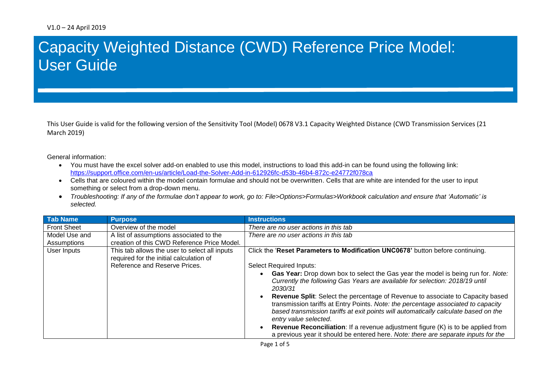## **13** User GuideCapacity Weighted Distance (CWD) Reference Price Model:

This User Guide is valid for the following version of the Sensitivity Tool (Model) 0678 V3.1 Capacity Weighted Distance (CWD Transmission Services (21 March 2019)

General information:

- You must have the excel solver add-on enabled to use this model, instructions to load this add-in can be found using the following link: <https://support.office.com/en-us/article/Load-the-Solver-Add-in-612926fc-d53b-46b4-872c-e24772f078ca>
- Cells that are coloured within the model contain formulae and should not be overwritten. Cells that are white are intended for the user to input something or select from a drop-down menu.
- *Troubleshooting: If any of the formulae don't appear to work, go to: File>Options>Formulas>Workbook calculation and ensure that 'Automatic' is selected.*

| <b>Tab Name</b>    | <b>Purpose</b>                                                                           | <b>Instructions</b>                                                                                                                                                                                                                                                                 |
|--------------------|------------------------------------------------------------------------------------------|-------------------------------------------------------------------------------------------------------------------------------------------------------------------------------------------------------------------------------------------------------------------------------------|
| <b>Front Sheet</b> | Overview of the model                                                                    | There are no user actions in this tab                                                                                                                                                                                                                                               |
| Model Use and      | A list of assumptions associated to the                                                  | There are no user actions in this tab                                                                                                                                                                                                                                               |
| Assumptions        | creation of this CWD Reference Price Model.                                              |                                                                                                                                                                                                                                                                                     |
| User Inputs        | This tab allows the user to select all inputs<br>required for the initial calculation of | Click the 'Reset Parameters to Modification UNC0678' button before continuing.                                                                                                                                                                                                      |
|                    | Reference and Reserve Prices.                                                            | <b>Select Required Inputs:</b>                                                                                                                                                                                                                                                      |
|                    |                                                                                          | Gas Year: Drop down box to select the Gas year the model is being run for. Note:<br>Currently the following Gas Years are available for selection: 2018/19 until<br>2030/31                                                                                                         |
|                    |                                                                                          | Revenue Split: Select the percentage of Revenue to associate to Capacity based<br>transmission tariffs at Entry Points. Note: the percentage associated to capacity<br>based transmission tariffs at exit points will automatically calculate based on the<br>entry value selected. |
|                    |                                                                                          | <b>Revenue Reconciliation:</b> If a revenue adjustment figure (K) is to be applied from<br>a previous year it should be entered here. Note: there are separate inputs for the                                                                                                       |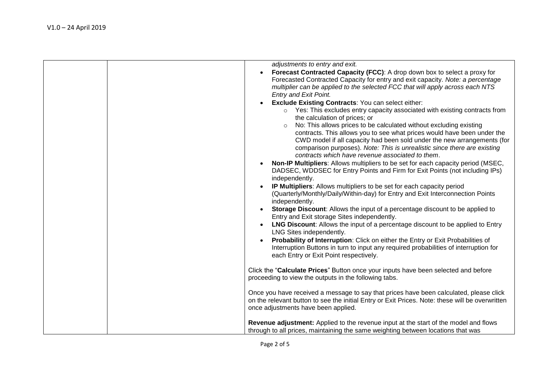| adjustments to entry and exit.                                                                                                                                          |
|-------------------------------------------------------------------------------------------------------------------------------------------------------------------------|
| Forecast Contracted Capacity (FCC): A drop down box to select a proxy for                                                                                               |
| Forecasted Contracted Capacity for entry and exit capacity. Note: a percentage                                                                                          |
| multiplier can be applied to the selected FCC that will apply across each NTS                                                                                           |
| Entry and Exit Point.                                                                                                                                                   |
| <b>Exclude Existing Contracts: You can select either:</b>                                                                                                               |
| o Yes: This excludes entry capacity associated with existing contracts from                                                                                             |
| the calculation of prices; or                                                                                                                                           |
| No: This allows prices to be calculated without excluding existing                                                                                                      |
| contracts. This allows you to see what prices would have been under the                                                                                                 |
| CWD model if all capacity had been sold under the new arrangements (for                                                                                                 |
| comparison purposes). Note: This is unrealistic since there are existing                                                                                                |
| contracts which have revenue associated to them.                                                                                                                        |
| Non-IP Multipliers: Allows multipliers to be set for each capacity period (MSEC,                                                                                        |
| DADSEC, WDDSEC for Entry Points and Firm for Exit Points (not including IPs)                                                                                            |
| independently.                                                                                                                                                          |
| IP Multipliers: Allows multipliers to be set for each capacity period                                                                                                   |
| (Quarterly/Monthly/Daily/Within-day) for Entry and Exit Interconnection Points                                                                                          |
| independently.                                                                                                                                                          |
| <b>Storage Discount:</b> Allows the input of a percentage discount to be applied to                                                                                     |
| Entry and Exit storage Sites independently.                                                                                                                             |
| <b>LNG Discount:</b> Allows the input of a percentage discount to be applied to Entry                                                                                   |
| LNG Sites independently.                                                                                                                                                |
| Probability of Interruption: Click on either the Entry or Exit Probabilities of<br>Interruption Buttons in turn to input any required probabilities of interruption for |
| each Entry or Exit Point respectively.                                                                                                                                  |
|                                                                                                                                                                         |
| Click the "Calculate Prices" Button once your inputs have been selected and before                                                                                      |
| proceeding to view the outputs in the following tabs.                                                                                                                   |
|                                                                                                                                                                         |
| Once you have received a message to say that prices have been calculated, please click                                                                                  |
| on the relevant button to see the initial Entry or Exit Prices. Note: these will be overwritten                                                                         |
| once adjustments have been applied.                                                                                                                                     |
|                                                                                                                                                                         |
| Revenue adjustment: Applied to the revenue input at the start of the model and flows                                                                                    |
| through to all prices, maintaining the same weighting between locations that was                                                                                        |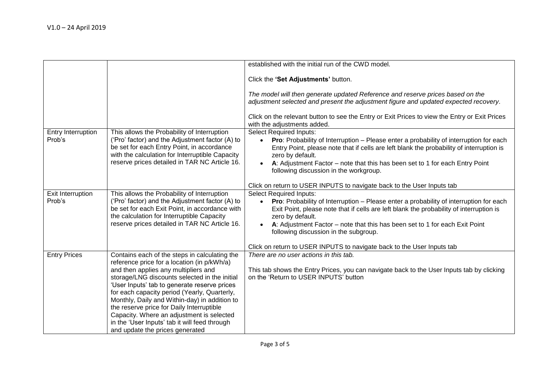|                              |                                                                                                                                                                                                                                                                                                                                                                                                                                                                                                                      | established with the initial run of the CWD model.                                                                                                                                                                                                                                                                                                                        |
|------------------------------|----------------------------------------------------------------------------------------------------------------------------------------------------------------------------------------------------------------------------------------------------------------------------------------------------------------------------------------------------------------------------------------------------------------------------------------------------------------------------------------------------------------------|---------------------------------------------------------------------------------------------------------------------------------------------------------------------------------------------------------------------------------------------------------------------------------------------------------------------------------------------------------------------------|
|                              |                                                                                                                                                                                                                                                                                                                                                                                                                                                                                                                      | Click the 'Set Adjustments' button.                                                                                                                                                                                                                                                                                                                                       |
|                              |                                                                                                                                                                                                                                                                                                                                                                                                                                                                                                                      | The model will then generate updated Reference and reserve prices based on the<br>adjustment selected and present the adjustment figure and updated expected recovery.                                                                                                                                                                                                    |
|                              |                                                                                                                                                                                                                                                                                                                                                                                                                                                                                                                      | Click on the relevant button to see the Entry or Exit Prices to view the Entry or Exit Prices<br>with the adjustments added.                                                                                                                                                                                                                                              |
| Entry Interruption<br>Prob's | This allows the Probability of Interruption<br>('Pro' factor) and the Adjustment factor (A) to<br>be set for each Entry Point, in accordance<br>with the calculation for Interruptible Capacity<br>reserve prices detailed in TAR NC Article 16.                                                                                                                                                                                                                                                                     | <b>Select Required Inputs:</b><br><b>Pro:</b> Probability of Interruption – Please enter a probability of interruption for each<br>Entry Point, please note that if cells are left blank the probability of interruption is<br>zero by default.<br>A: Adjustment Factor – note that this has been set to 1 for each Entry Point<br>following discussion in the workgroup. |
|                              |                                                                                                                                                                                                                                                                                                                                                                                                                                                                                                                      | Click on return to USER INPUTS to navigate back to the User Inputs tab                                                                                                                                                                                                                                                                                                    |
| Exit Interruption<br>Prob's  | This allows the Probability of Interruption<br>('Pro' factor) and the Adjustment factor (A) to<br>be set for each Exit Point, in accordance with<br>the calculation for Interruptible Capacity<br>reserve prices detailed in TAR NC Article 16.                                                                                                                                                                                                                                                                      | <b>Select Required Inputs:</b><br>Pro: Probability of Interruption - Please enter a probability of interruption for each<br>Exit Point, please note that if cells are left blank the probability of interruption is<br>zero by default.<br>A: Adjustment Factor – note that this has been set to 1 for each Exit Point<br>following discussion in the subgroup.           |
|                              |                                                                                                                                                                                                                                                                                                                                                                                                                                                                                                                      | Click on return to USER INPUTS to navigate back to the User Inputs tab                                                                                                                                                                                                                                                                                                    |
| <b>Entry Prices</b>          | Contains each of the steps in calculating the<br>reference price for a location (in p/kWh/a)<br>and then applies any multipliers and<br>storage/LNG discounts selected in the initial<br>'User Inputs' tab to generate reserve prices<br>for each capacity period (Yearly, Quarterly,<br>Monthly, Daily and Within-day) in addition to<br>the reserve price for Daily Interruptible<br>Capacity. Where an adjustment is selected<br>in the 'User Inputs' tab it will feed through<br>and update the prices generated | There are no user actions in this tab.<br>This tab shows the Entry Prices, you can navigate back to the User Inputs tab by clicking<br>on the 'Return to USER INPUTS' button                                                                                                                                                                                              |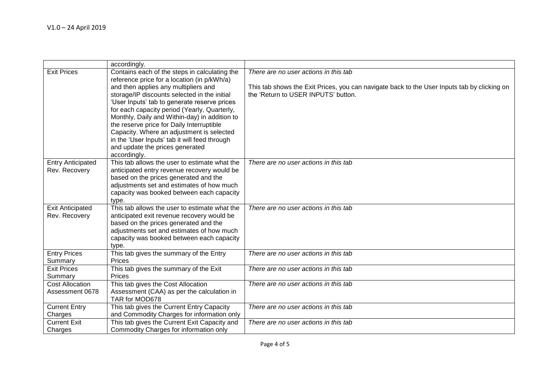|                                | accordingly.                                      |                                                                                             |
|--------------------------------|---------------------------------------------------|---------------------------------------------------------------------------------------------|
| <b>Exit Prices</b>             | Contains each of the steps in calculating the     | There are no user actions in this tab                                                       |
|                                | reference price for a location (in p/kWh/a)       |                                                                                             |
|                                | and then applies any multipliers and              | This tab shows the Exit Prices, you can navigate back to the User Inputs tab by clicking on |
|                                | storage/IP discounts selected in the initial      | the 'Return to USER INPUTS' button.                                                         |
|                                | 'User Inputs' tab to generate reserve prices      |                                                                                             |
|                                | for each capacity period (Yearly, Quarterly,      |                                                                                             |
|                                | Monthly, Daily and Within-day) in addition to     |                                                                                             |
|                                | the reserve price for Daily Interruptible         |                                                                                             |
|                                | Capacity. Where an adjustment is selected         |                                                                                             |
|                                | in the 'User Inputs' tab it will feed through     |                                                                                             |
|                                | and update the prices generated                   |                                                                                             |
|                                | accordingly.                                      |                                                                                             |
| <b>Entry Anticipated</b>       | This tab allows the user to estimate what the     | There are no user actions in this tab                                                       |
| Rev. Recovery                  | anticipated entry revenue recovery would be       |                                                                                             |
|                                | based on the prices generated and the             |                                                                                             |
|                                | adjustments set and estimates of how much         |                                                                                             |
|                                | capacity was booked between each capacity         |                                                                                             |
|                                | type.                                             |                                                                                             |
| <b>Exit Anticipated</b>        | This tab allows the user to estimate what the     | There are no user actions in this tab                                                       |
| Rev. Recovery                  | anticipated exit revenue recovery would be        |                                                                                             |
|                                | based on the prices generated and the             |                                                                                             |
|                                | adjustments set and estimates of how much         |                                                                                             |
|                                | capacity was booked between each capacity         |                                                                                             |
|                                | type.                                             |                                                                                             |
| <b>Entry Prices</b><br>Summary | This tab gives the summary of the Entry<br>Prices | There are no user actions in this tab                                                       |
| <b>Exit Prices</b>             | This tab gives the summary of the Exit            | There are no user actions in this tab                                                       |
| Summary                        | <b>Prices</b>                                     |                                                                                             |
| <b>Cost Allocation</b>         | This tab gives the Cost Allocation                | There are no user actions in this tab                                                       |
| Assessment 0678                | Assessment (CAA) as per the calculation in        |                                                                                             |
|                                | TAR for MOD678                                    |                                                                                             |
| <b>Current Entry</b>           | This tab gives the Current Entry Capacity         | There are no user actions in this tab                                                       |
| Charges                        | and Commodity Charges for information only        |                                                                                             |
| <b>Current Exit</b>            | This tab gives the Current Exit Capacity and      | There are no user actions in this tab                                                       |
| Charges                        | Commodity Charges for information only            |                                                                                             |